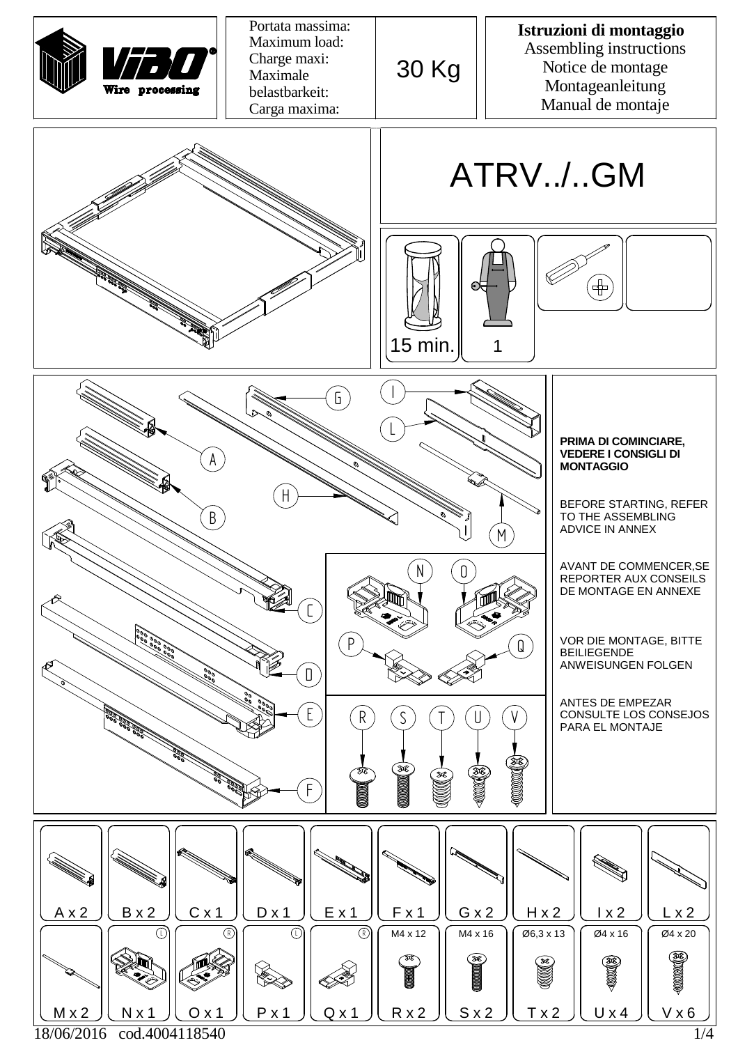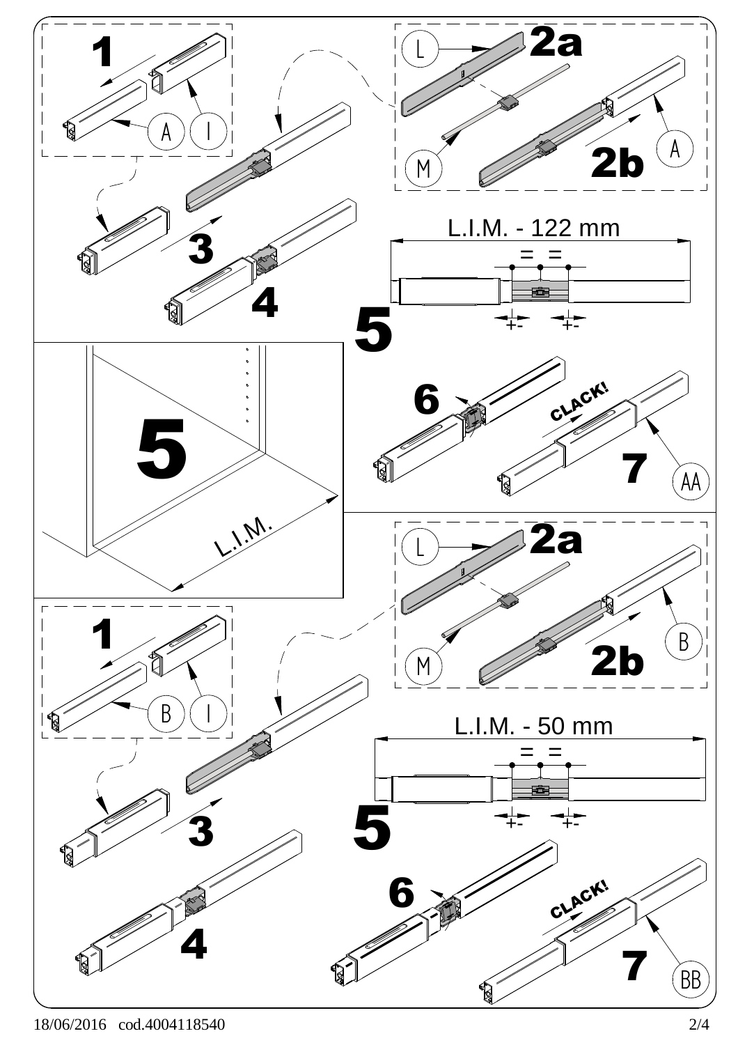

18/06/2016 cod.4004118540 2/4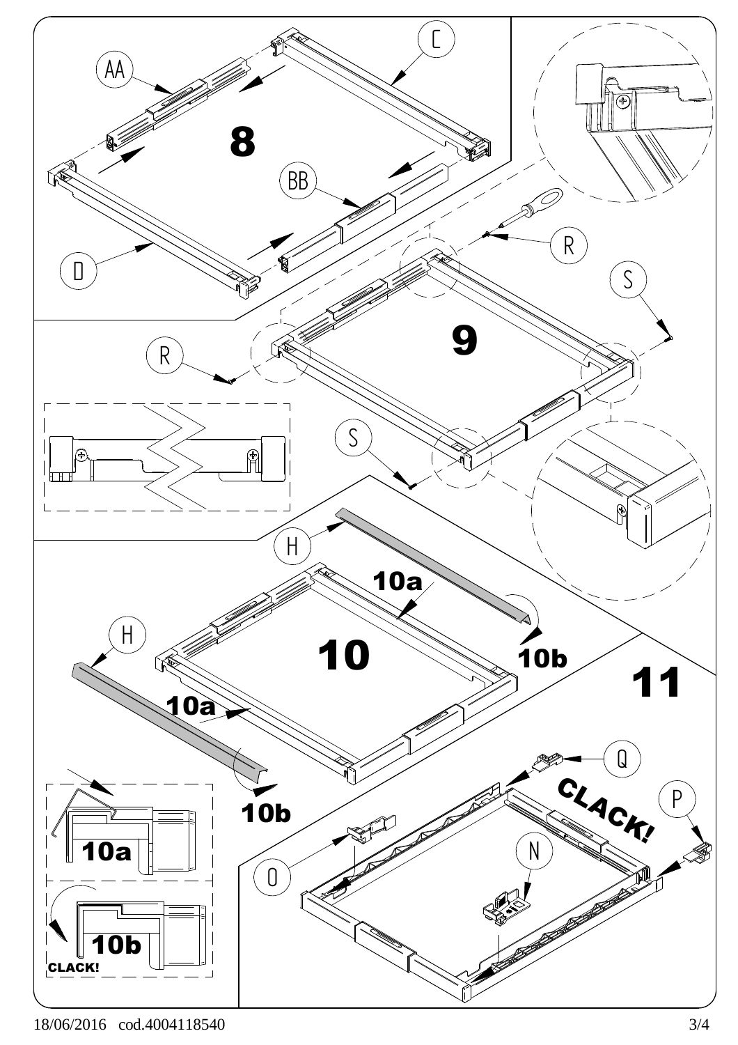

18/06/2016 cod.4004118540 3/4